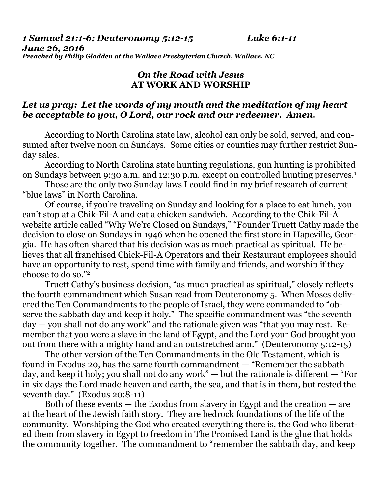*1 Samuel 21:1-6; Deuteronomy 5:12-15 Luke 6:1-11* 

*June 26, 2016 Preached by Philip Gladden at the Wallace Presbyterian Church, Wallace, NC* 

## *On the Road with Jesus*  **AT WORK AND WORSHIP**

## *Let us pray: Let the words of my mouth and the meditation of my heart be acceptable to you, O Lord, our rock and our redeemer. Amen.*

According to North Carolina state law, alcohol can only be sold, served, and consumed after twelve noon on Sundays. Some cities or counties may further restrict Sunday sales.

 According to North Carolina state hunting regulations, gun hunting is prohibited on Sundays between 9:30 a.m. and 12:30 p.m. except on controlled hunting preserves.1

 Those are the only two Sunday laws I could find in my brief research of current "blue laws" in North Carolina.

 Of course, if you're traveling on Sunday and looking for a place to eat lunch, you can't stop at a Chik-Fil-A and eat a chicken sandwich. According to the Chik-Fil-A website article called "Why We're Closed on Sundays," "Founder Truett Cathy made the decision to close on Sundays in 1946 when he opened the first store in Hapeville, Georgia. He has often shared that his decision was as much practical as spiritual. He believes that all franchised Chick-Fil-A Operators and their Restaurant employees should have an opportunity to rest, spend time with family and friends, and worship if they choose to do so."2

 Truett Cathy's business decision, "as much practical as spiritual," closely reflects the fourth commandment which Susan read from Deuteronomy 5. When Moses delivered the Ten Commandments to the people of Israel, they were commanded to "observe the sabbath day and keep it holy." The specific commandment was "the seventh day — you shall not do any work" and the rationale given was "that you may rest. Remember that you were a slave in the land of Egypt, and the Lord your God brought you out from there with a mighty hand and an outstretched arm." (Deuteronomy 5:12-15)

 The other version of the Ten Commandments in the Old Testament, which is found in Exodus 20, has the same fourth commandment — "Remember the sabbath day, and keep it holy; you shall not do any work" — but the rationale is different — "For in six days the Lord made heaven and earth, the sea, and that is in them, but rested the seventh day." (Exodus 20:8-11)

 Both of these events — the Exodus from slavery in Egypt and the creation — are at the heart of the Jewish faith story. They are bedrock foundations of the life of the community. Worshiping the God who created everything there is, the God who liberated them from slavery in Egypt to freedom in The Promised Land is the glue that holds the community together. The commandment to "remember the sabbath day, and keep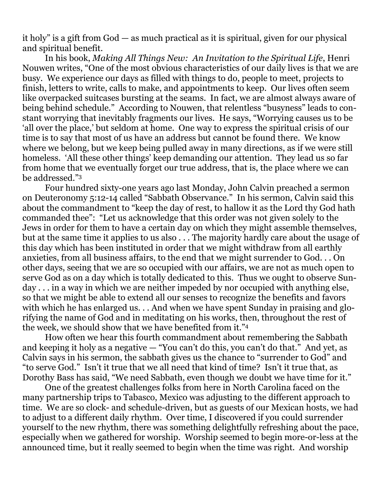it holy" is a gift from God — as much practical as it is spiritual, given for our physical and spiritual benefit.

 In his book, *Making All Things New: An Invitation to the Spiritual Life*, Henri Nouwen writes, "One of the most obvious characteristics of our daily lives is that we are busy. We experience our days as filled with things to do, people to meet, projects to finish, letters to write, calls to make, and appointments to keep. Our lives often seem like overpacked suitcases bursting at the seams. In fact, we are almost always aware of being behind schedule." According to Nouwen, that relentless "busyness" leads to constant worrying that inevitably fragments our lives. He says, "Worrying causes us to be 'all over the place,' but seldom at home. One way to express the spiritual crisis of our time is to say that most of us have an address but cannot be found there. We know where we belong, but we keep being pulled away in many directions, as if we were still homeless. 'All these other things' keep demanding our attention. They lead us so far from home that we eventually forget our true address, that is, the place where we can be addressed."3

 Four hundred sixty-one years ago last Monday, John Calvin preached a sermon on Deuteronomy 5:12-14 called "Sabbath Observance." In his sermon, Calvin said this about the commandment to "keep the day of rest, to hallow it as the Lord thy God hath commanded thee": "Let us acknowledge that this order was not given solely to the Jews in order for them to have a certain day on which they might assemble themselves, but at the same time it applies to us also . . . The majority hardly care about the usage of this day which has been instituted in order that we might withdraw from all earthly anxieties, from all business affairs, to the end that we might surrender to God. . . On other days, seeing that we are so occupied with our affairs, we are not as much open to serve God as on a day which is totally dedicated to this. Thus we ought to observe Sunday . . . in a way in which we are neither impeded by nor occupied with anything else, so that we might be able to extend all our senses to recognize the benefits and favors with which he has enlarged us. . . And when we have spent Sunday in praising and glorifying the name of God and in meditating on his works, then, throughout the rest of the week, we should show that we have benefited from it."4

 How often we hear this fourth commandment about remembering the Sabbath and keeping it holy as a negative — "You can't do this, you can't do that." And yet, as Calvin says in his sermon, the sabbath gives us the chance to "surrender to God" and "to serve God." Isn't it true that we all need that kind of time? Isn't it true that, as Dorothy Bass has said, "We need Sabbath, even though we doubt we have time for it."

 One of the greatest challenges folks from here in North Carolina faced on the many partnership trips to Tabasco, Mexico was adjusting to the different approach to time. We are so clock- and schedule-driven, but as guests of our Mexican hosts, we had to adjust to a different daily rhythm. Over time, I discovered if you could surrender yourself to the new rhythm, there was something delightfully refreshing about the pace, especially when we gathered for worship. Worship seemed to begin more-or-less at the announced time, but it really seemed to begin when the time was right. And worship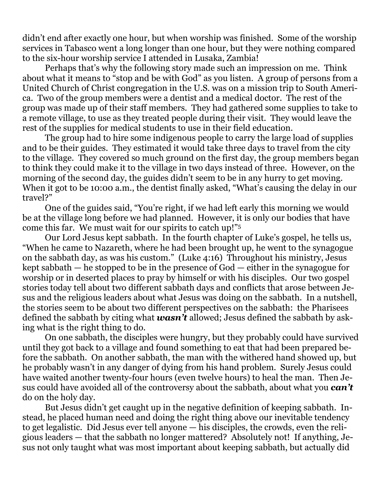didn't end after exactly one hour, but when worship was finished. Some of the worship services in Tabasco went a long longer than one hour, but they were nothing compared to the six-hour worship service I attended in Lusaka, Zambia!

 Perhaps that's why the following story made such an impression on me. Think about what it means to "stop and be with God" as you listen. A group of persons from a United Church of Christ congregation in the U.S. was on a mission trip to South America. Two of the group members were a dentist and a medical doctor. The rest of the group was made up of their staff members. They had gathered some supplies to take to a remote village, to use as they treated people during their visit. They would leave the rest of the supplies for medical students to use in their field education.

 The group had to hire some indigenous people to carry the large load of supplies and to be their guides. They estimated it would take three days to travel from the city to the village. They covered so much ground on the first day, the group members began to think they could make it to the village in two days instead of three. However, on the morning of the second day, the guides didn't seem to be in any hurry to get moving. When it got to be 10:00 a.m., the dentist finally asked, "What's causing the delay in our travel?"

 One of the guides said, "You're right, if we had left early this morning we would be at the village long before we had planned. However, it is only our bodies that have come this far. We must wait for our spirits to catch up!"5

 Our Lord Jesus kept sabbath. In the fourth chapter of Luke's gospel, he tells us, "When he came to Nazareth, where he had been brought up, he went to the synagogue on the sabbath day, as was his custom." (Luke 4:16) Throughout his ministry, Jesus kept sabbath — he stopped to be in the presence of God — either in the synagogue for worship or in deserted places to pray by himself or with his disciples. Our two gospel stories today tell about two different sabbath days and conflicts that arose between Jesus and the religious leaders about what Jesus was doing on the sabbath. In a nutshell, the stories seem to be about two different perspectives on the sabbath: the Pharisees defined the sabbath by citing what *wasn't* allowed; Jesus defined the sabbath by asking what is the right thing to do.

 On one sabbath, the disciples were hungry, but they probably could have survived until they got back to a village and found something to eat that had been prepared before the sabbath. On another sabbath, the man with the withered hand showed up, but he probably wasn't in any danger of dying from his hand problem. Surely Jesus could have waited another twenty-four hours (even twelve hours) to heal the man. Then Jesus could have avoided all of the controversy about the sabbath, about what you *can't*  do on the holy day.

 But Jesus didn't get caught up in the negative definition of keeping sabbath. Instead, he placed human need and doing the right thing above our inevitable tendency to get legalistic. Did Jesus ever tell anyone — his disciples, the crowds, even the religious leaders — that the sabbath no longer mattered? Absolutely not! If anything, Jesus not only taught what was most important about keeping sabbath, but actually did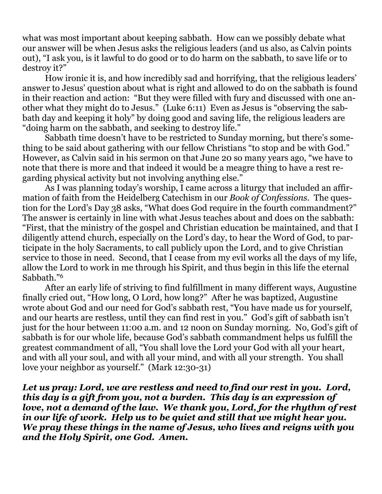what was most important about keeping sabbath. How can we possibly debate what our answer will be when Jesus asks the religious leaders (and us also, as Calvin points out), "I ask you, is it lawful to do good or to do harm on the sabbath, to save life or to destroy it?"

 How ironic it is, and how incredibly sad and horrifying, that the religious leaders' answer to Jesus' question about what is right and allowed to do on the sabbath is found in their reaction and action: "But they were filled with fury and discussed with one another what they might do to Jesus." (Luke 6:11) Even as Jesus is "observing the sabbath day and keeping it holy" by doing good and saving life, the religious leaders are "doing harm on the sabbath, and seeking to destroy life."

 Sabbath time doesn't have to be restricted to Sunday morning, but there's something to be said about gathering with our fellow Christians "to stop and be with God." However, as Calvin said in his sermon on that June 20 so many years ago, "we have to note that there is more and that indeed it would be a meagre thing to have a rest regarding physical activity but not involving anything else."

 As I was planning today's worship, I came across a liturgy that included an affirmation of faith from the Heidelberg Catechism in our *Book of Confessions*. The question for the Lord's Day 38 asks, "What does God require in the fourth commandment?" The answer is certainly in line with what Jesus teaches about and does on the sabbath: "First, that the ministry of the gospel and Christian education be maintained, and that I diligently attend church, especially on the Lord's day, to hear the Word of God, to participate in the holy Sacraments, to call publicly upon the Lord, and to give Christian service to those in need. Second, that I cease from my evil works all the days of my life, allow the Lord to work in me through his Spirit, and thus begin in this life the eternal Sabbath."6

 After an early life of striving to find fulfillment in many different ways, Augustine finally cried out, "How long, O Lord, how long?" After he was baptized, Augustine wrote about God and our need for God's sabbath rest, "You have made us for yourself, and our hearts are restless, until they can find rest in you." God's gift of sabbath isn't just for the hour between 11:00 a.m. and 12 noon on Sunday morning. No, God's gift of sabbath is for our whole life, because God's sabbath commandment helps us fulfill the greatest commandment of all, "You shall love the Lord your God with all your heart, and with all your soul, and with all your mind, and with all your strength. You shall love your neighbor as yourself." (Mark 12:30-31)

*Let us pray: Lord, we are restless and need to find our rest in you. Lord, this day is a gift from you, not a burden. This day is an expression of love, not a demand of the law. We thank you, Lord, for the rhythm of rest in our life of work. Help us to be quiet and still that we might hear you. We pray these things in the name of Jesus, who lives and reigns with you and the Holy Spirit, one God. Amen.*